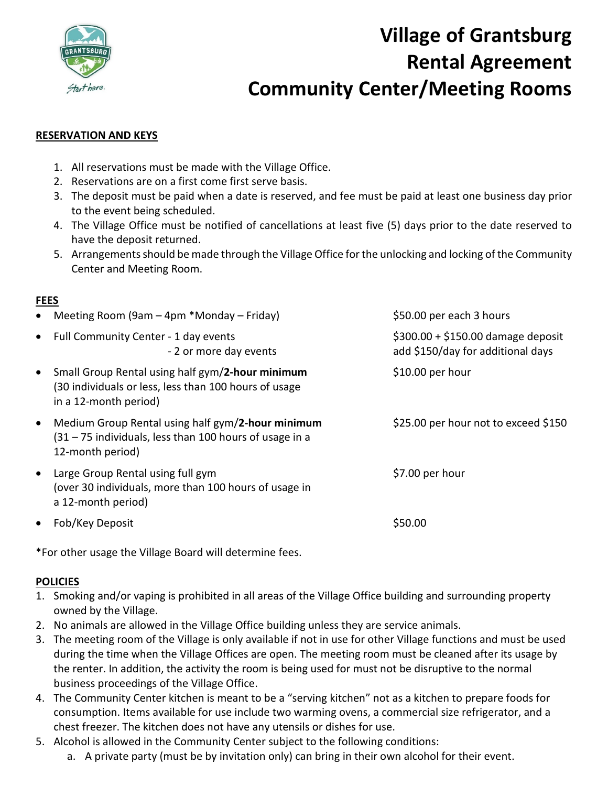

# **Village of Grantsburg Rental Agreement Community Center/Meeting Rooms**

### **RESERVATION AND KEYS**

- 1. All reservations must be made with the Village Office.
- 2. Reservations are on a first come first serve basis.
- 3. The deposit must be paid when a date is reserved, and fee must be paid at least one business day prior to the event being scheduled.
- 4. The Village Office must be notified of cancellations at least five (5) days prior to the date reserved to have the deposit returned.
- 5. Arrangements should be made through the Village Office for the unlocking and locking of the Community Center and Meeting Room.

### **FEES**

|           | • Meeting Room (9am $-$ 4pm $*$ Monday $-$ Friday)                                                                                  | \$50.00 per each 3 hours                                                |
|-----------|-------------------------------------------------------------------------------------------------------------------------------------|-------------------------------------------------------------------------|
|           | • Full Community Center - 1 day events<br>- 2 or more day events                                                                    | $$300.00 + $150.00$ damage deposit<br>add \$150/day for additional days |
| $\bullet$ | Small Group Rental using half gym/2-hour minimum<br>(30 individuals or less, less than 100 hours of usage<br>in a 12-month period)  | $$10.00$ per hour                                                       |
| $\bullet$ | Medium Group Rental using half gym/2-hour minimum<br>$(31 – 75)$ individuals, less than 100 hours of usage in a<br>12-month period) | \$25.00 per hour not to exceed \$150                                    |
| $\bullet$ | Large Group Rental using full gym<br>(over 30 individuals, more than 100 hours of usage in<br>a 12-month period)                    | \$7.00 per hour                                                         |
| $\bullet$ | Fob/Key Deposit                                                                                                                     | \$50.00                                                                 |

\*For other usage the Village Board will determine fees.

### **POLICIES**

- 1. Smoking and/or vaping is prohibited in all areas of the Village Office building and surrounding property owned by the Village.
- 2. No animals are allowed in the Village Office building unless they are service animals.
- 3. The meeting room of the Village is only available if not in use for other Village functions and must be used during the time when the Village Offices are open. The meeting room must be cleaned after its usage by the renter. In addition, the activity the room is being used for must not be disruptive to the normal business proceedings of the Village Office.
- 4. The Community Center kitchen is meant to be a "serving kitchen" not as a kitchen to prepare foods for consumption. Items available for use include two warming ovens, a commercial size refrigerator, and a chest freezer. The kitchen does not have any utensils or dishes for use.
- 5. Alcohol is allowed in the Community Center subject to the following conditions:
	- a. A private party (must be by invitation only) can bring in their own alcohol for their event.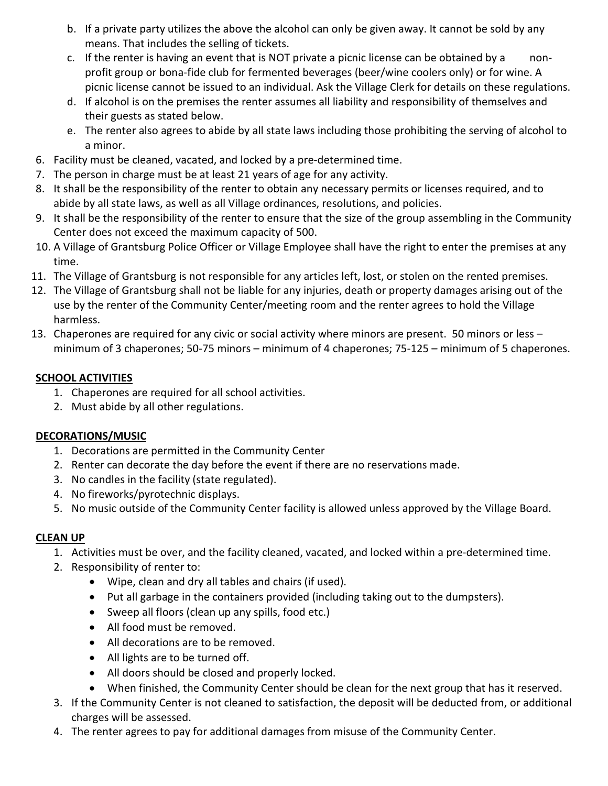- b. If a private party utilizes the above the alcohol can only be given away. It cannot be sold by any means. That includes the selling of tickets.
- c. If the renter is having an event that is NOT private a picnic license can be obtained by a nonprofit group or bona-fide club for fermented beverages (beer/wine coolers only) or for wine. A picnic license cannot be issued to an individual. Ask the Village Clerk for details on these regulations.
- d. If alcohol is on the premises the renter assumes all liability and responsibility of themselves and their guests as stated below.
- e. The renter also agrees to abide by all state laws including those prohibiting the serving of alcohol to a minor.
- 6. Facility must be cleaned, vacated, and locked by a pre-determined time.
- 7. The person in charge must be at least 21 years of age for any activity.
- 8. It shall be the responsibility of the renter to obtain any necessary permits or licenses required, and to abide by all state laws, as well as all Village ordinances, resolutions, and policies.
- 9. It shall be the responsibility of the renter to ensure that the size of the group assembling in the Community Center does not exceed the maximum capacity of 500.
- 10. A Village of Grantsburg Police Officer or Village Employee shall have the right to enter the premises at any time.
- 11. The Village of Grantsburg is not responsible for any articles left, lost, or stolen on the rented premises.
- 12. The Village of Grantsburg shall not be liable for any injuries, death or property damages arising out of the use by the renter of the Community Center/meeting room and the renter agrees to hold the Village harmless.
- 13. Chaperones are required for any civic or social activity where minors are present. 50 minors or less minimum of 3 chaperones; 50-75 minors – minimum of 4 chaperones; 75-125 – minimum of 5 chaperones.

# **SCHOOL ACTIVITIES**

- 1. Chaperones are required for all school activities.
- 2. Must abide by all other regulations.

# **DECORATIONS/MUSIC**

- 1. Decorations are permitted in the Community Center
- 2. Renter can decorate the day before the event if there are no reservations made.
- 3. No candles in the facility (state regulated).
- 4. No fireworks/pyrotechnic displays.
- 5. No music outside of the Community Center facility is allowed unless approved by the Village Board.

### **CLEAN UP**

- 1. Activities must be over, and the facility cleaned, vacated, and locked within a pre-determined time.
- 2. Responsibility of renter to:
	- Wipe, clean and dry all tables and chairs (if used).
	- Put all garbage in the containers provided (including taking out to the dumpsters).
	- Sweep all floors (clean up any spills, food etc.)
	- All food must be removed.
	- All decorations are to be removed.
	- All lights are to be turned off.
	- All doors should be closed and properly locked.
	- When finished, the Community Center should be clean for the next group that has it reserved.
- 3. If the Community Center is not cleaned to satisfaction, the deposit will be deducted from, or additional charges will be assessed.
- 4. The renter agrees to pay for additional damages from misuse of the Community Center.